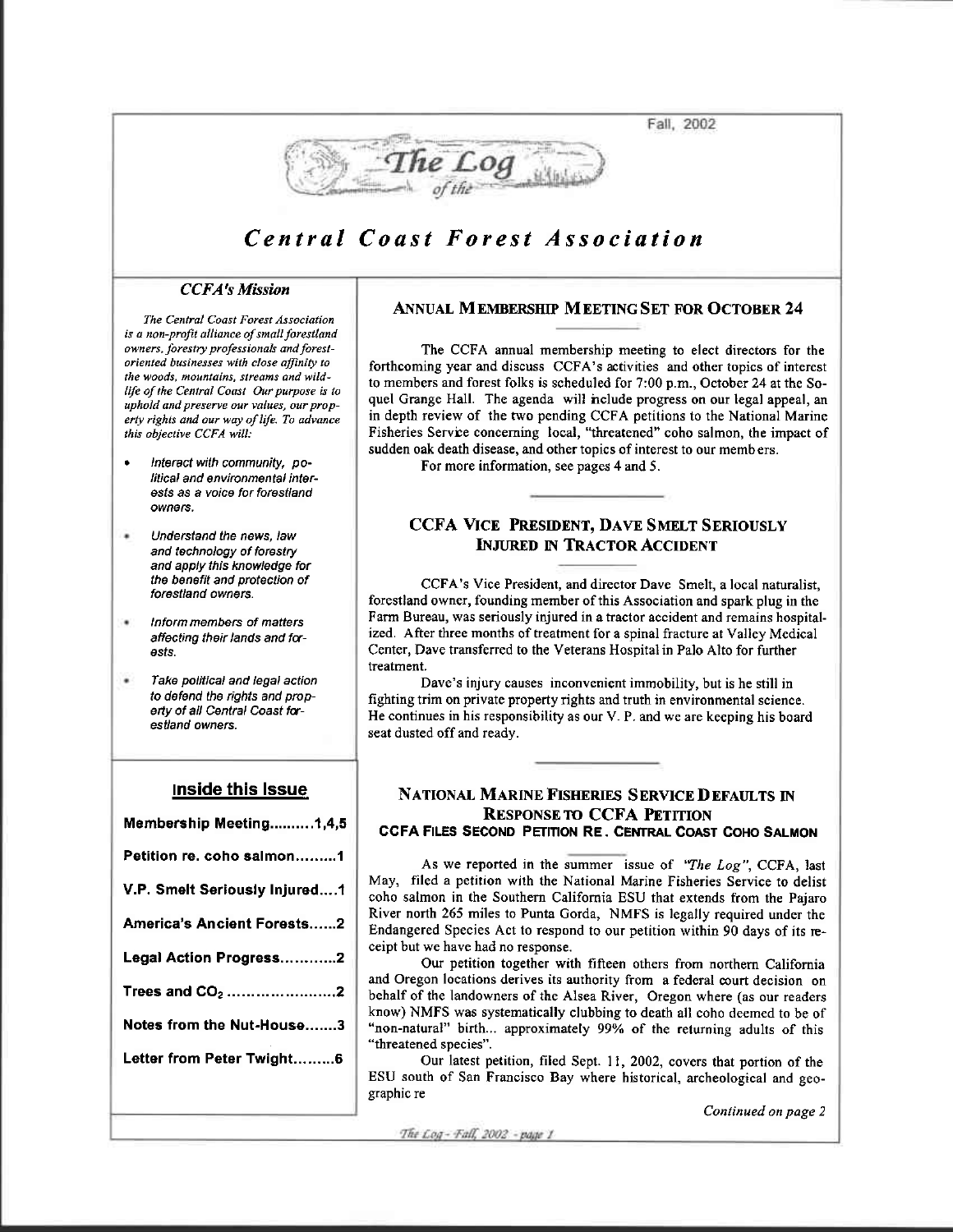Fall, 2002



## Central Coast Forest Association

## **CCFA's Mission**

The Central Coast Forest Association is a non-profit alliance of small forestland owners, forestry professionals and forestoriented businesses with close affinity to the woods, mountains, streams and wildlife of the Central Coast Our purpose is to uphold and preserve our values, our property rights and our way of life. To advance this objective CCFA will:

- Interact with community, political and environmental interests as a voice for forestland owners.
- $\blacksquare$ Understand the news, law and technology of forestry and apply this knowledge for the benefit and protection of forestland owners.
- Inform members of matters affecting their lands and forests.
- Take political and legal action to defend the rights and property of all Central Coast forestland owners

### **Inside this Issue**

| Membership Meeting1,4,5       |
|-------------------------------|
| Petition re. coho salmon………1  |
| V.P. Smelt Seriously Injured1 |
| America's Ancient Forests2    |
| Legal Action Progress2        |
| Trees and $CO2$ 2             |
| Notes from the Nut-House3     |
| Letter from Peter Twight6     |
|                               |

### **ANNUAL MEMBERSHIP MEETING SET FOR OCTOBER 24**

The CCFA annual membership meeting to elect directors for the forthcoming year and discuss CCFA's activities and other topics of interest to members and forest folks is scheduled for 7:00 p.m., October 24 at the Soquel Grange Hall. The agenda will not ude progress on our legal appeal, an in depth review of the two pending CCFA petitions to the National Marine Fisheries Service concerning local, "threatened" coho salmon, the impact of sudden oak death disease, and other topics of interest to our members.

For more information, see pages 4 and 5.

### **CCFA VICE PRESIDENT, DAVE SMELT SERIOUSLY INJURED IN TRACTOR ACCIDENT**

CCFA's Vice President, and director Dave Smelt, a local naturalist, forestland owner, founding member of this Association and spark plug in the Farm Bureau, was seriously injured in a tractor accident and remains hospitalized. After three months of treatment for a spinal fracture at Valley Medical Center, Dave transferred to the Veterans Hospital in Palo Alto for further treatment.

Dave's injury causes inconvenient immobility, but is he still in fighting trim on private property rights and truth in environmental science. He continues in his responsibility as our V. P. and we are keeping his board seat dusted off and ready.

### NATIONAL MARINE FISHERIES SERVICE DEFAULTS IN **RESPONSE TO CCFA PETITION** CCFA FILES SECOND PETITION RE. CENTRAL COAST COHO SALMON

As we reported in the summer issue of "The Log", CCFA, last May, filed a petition with the National Marine Fisheries Service to delist coho salmon in the Southern California ESU that extends from the Pajaro River north 265 miles to Punta Gorda, NMFS is legally required under the Endangered Species Act to respond to our petition within 90 days of its receipt but we have had no response.

Our petition together with fifteen others from northern California and Oregon locations derives its authority from a federal court decision on behalf of the landowners of the Alsea River, Oregon where (as our readers know) NMFS was systematically clubbing to death all coho deemed to be of "non-natural" birth... approximately 99% of the returning adults of this "threatened species".

Our latest petition, filed Sept. 11, 2002, covers that portion of the ESU south of San Francisco Bay where historical, archeological and geographic re

Continued on page 2

The Log - Fall, 2002 - page 1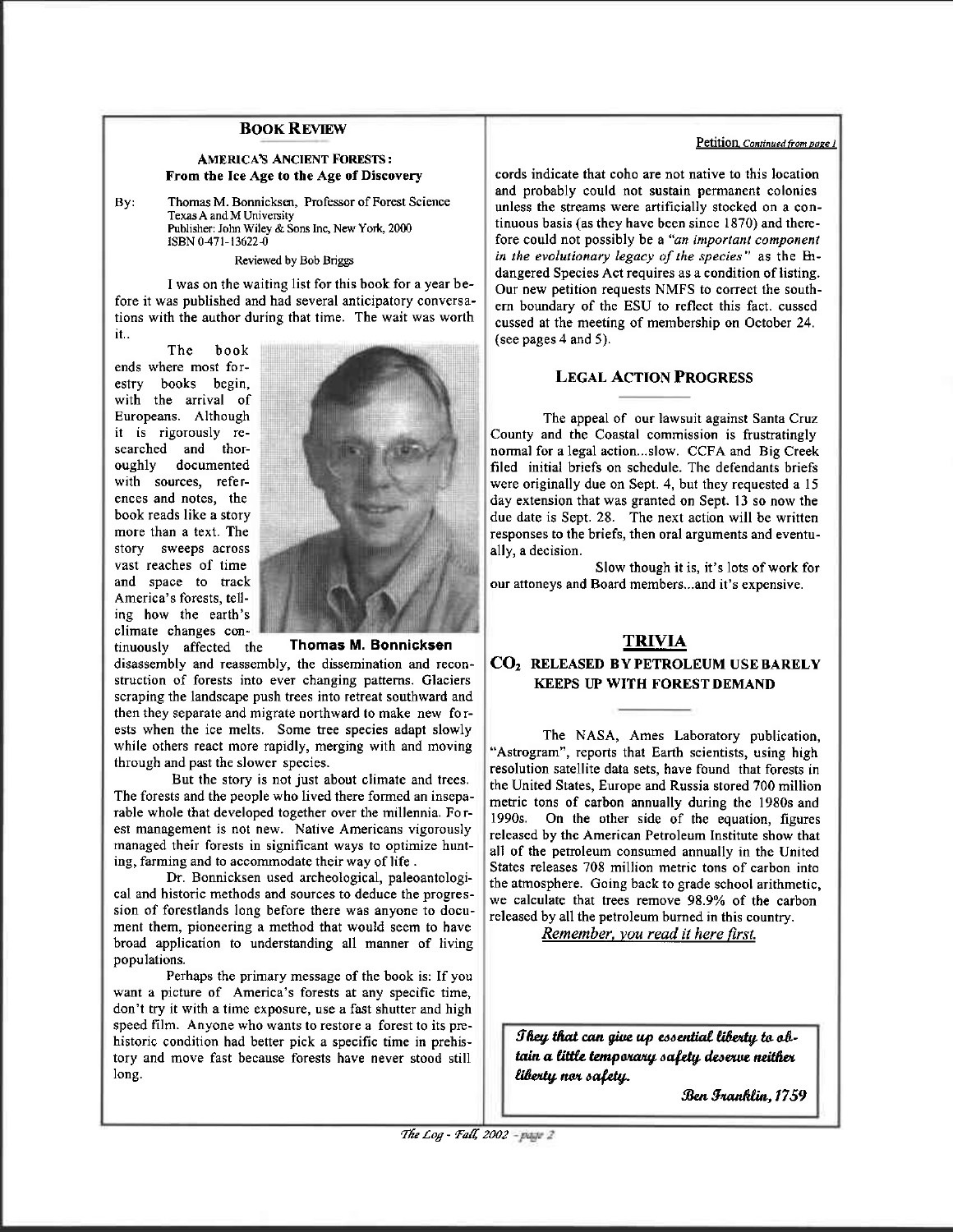### **BOOK REVIEW**

### AMERICA'S ANCIENT FORESTS: From tbe Ice Age to the Age of Discovery

By: Thomas M. Bonnicksen, Professor of Forest Science Texas A and M University Publisher: John Wiley & Sons Inc, New York, 2000 ISBN 0-471-13622-0

Reviewed by Bob Briggs

I was on the waiting list for this book for a year before it was published and had several anticipatory conversations with the author during that time. The wait was worth it..

The book ends where most for-<br>estry books begin. books begin, with the arrival of Europeans. Although it is rigorously researched and thoroughly documented with sources, references and notes, the book reads like a story more than a text. The story sweeps across vast reaches of time and space to track America's forests, telling how the earth's climate changes con-



tinuously affected the Thomas M. Bonnicksen

disassembly and reassembly, the dissemination and reconstruction of forests into ever changing patterns. Glaciers scraping the landscape push trees into retreat southward and then they separate and migrate northward to make new fo rests when the ice melts. Some tree species adapt slowly while others react more rapidly, merging with and moving through and past the slower species.

But the story is not just about climate and trees. The forests and the people who lived there formed an inseparable whole that developed together over the millennia. Fo rest management is not new. Native Americans vigorously managed their forests in significant ways to optimize hunting, farming and to accommodate their way of life.

Dr. Bonnicksen used archeological, paleoantological and historic methods and sources to deduce the progression of forestlands long before there was anyone to document them, pioneering a method that would seem to have broad application to understanding all manner of living populations.

Perhaps the primary message of the book is: If you want a picture of America's forests at any specific time, don't try it with a time exposure, use a fast shutter and high speed film. Anyone who wants to restore a forest to its prchistoric condition had befter pick a specific time in prehjstory and move fast because forests haye never stood still long.

### Petition, Continued from page 1

cords indicate that coho are not native to this location and probably could not sustain permanent colonies unless the streams were artificially stocked on a contiruous basis (as they have been since 1870) and rherefore could not possibly be a "an important component in the evolutionary legacy of the species" as the Endangered Species Act requires as a condition of listing. Our new petition requests NMFS to correct the southern boundary of the ESU to reflect this fact. cussed cussed at the meeting of membership on October 24. (see pages 4 and 5).

### LEGAL AcTIoN PRoGRESS

The appeal of our lawsuit against Santa Cruz County and the Coastal commission is frustratingly normal for a legal action...slow. CCFA and Big Creek filed initial briefs on schedule. The defendants briefs were originally due on Sept. 4, but they requested a  $15$ day extension that was granted on Sept. 13 so now the due date is Sept. 28. The next action will be written responses to the briefs, then oral arguments and eventually, a decision.

Slow though it is, it's lots of work for our attoneys and Board members...and it's expensive.

## TRIVIA

### CO, RELEASED BY PETRoLEUM UsE BARELY KEEPS UP WITH FOREST DEMAND

The NASA, Ames Laboratory publication, "Astrogram", reports that Earth scientists, using high resolution satellite data sets, have found that forests in the United States, Europe and Russia stored 700 million metric tons of carbon annually during the 1980s and 1990s. On the other side of the equation, figures released by the American Petroleum Institute show that all of the petmleum consumed annually in the United States releases 708 million metric tons of carbon into the atmosphere. Going back to grade school arithmetic, we calculate that trees remove 98.9% of the carbon released by all the petroleum burned in this country.

Remember, you read it here first.

They that can give up essential liberty to obtain a little temporary safety deserve neither liberty nor safety.

Ben Iranklin, 1759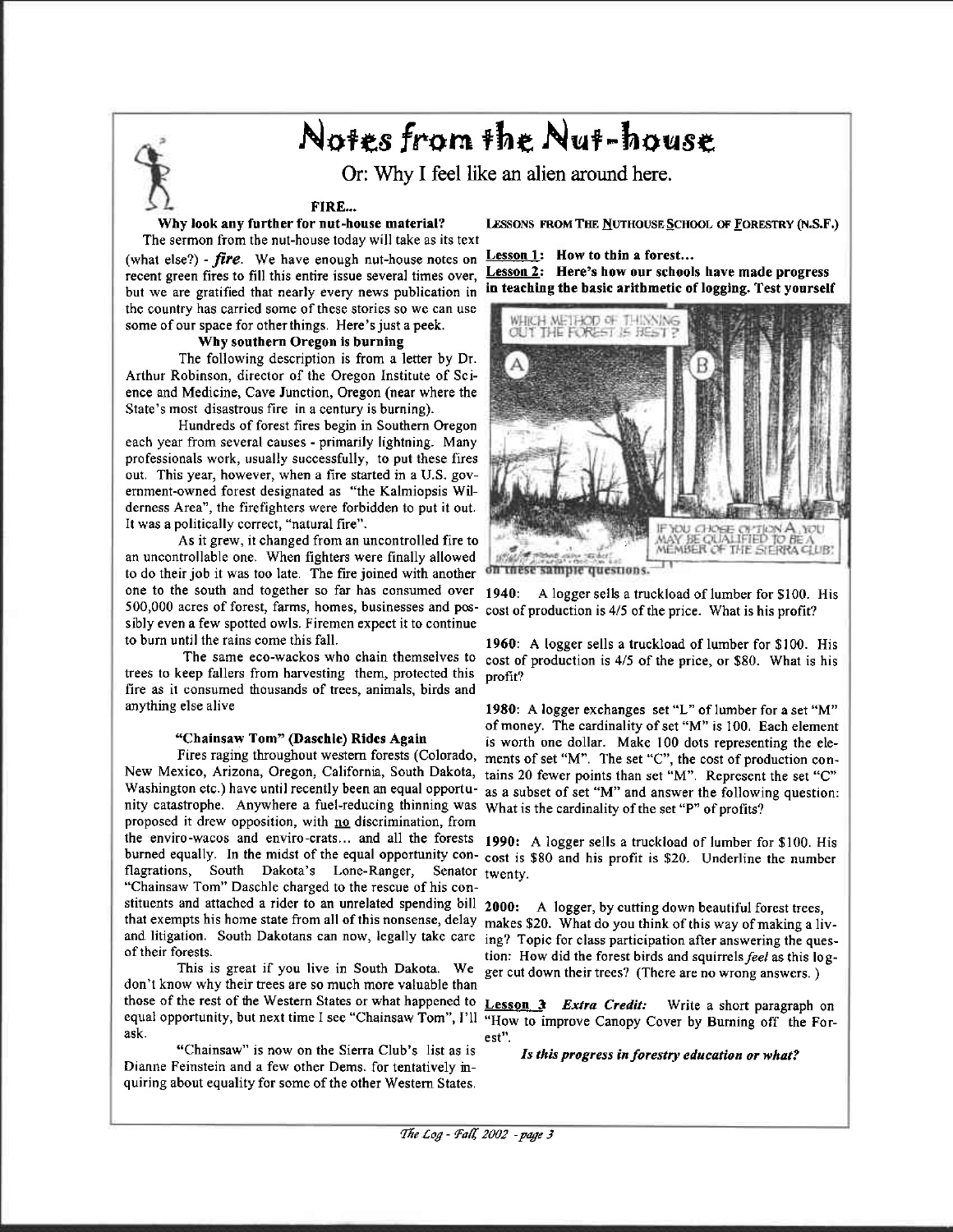# Notes from the Nut-house

Or: Why I feel like an alien around here.

### FIRE...

Why look any further for nut-house material?

The sermon from the nut-house today will take as its text (what else?) - fire. We have enough nut-house notes on Lesson 1: How to thin a forest... recent green fires to fill this entire issue several times over, but we are gratified that nearly every news publication in in teaching the basic arithmetic of logging. Test yourself the country has carried some of these stories so we can use some of our space for other things. Here's just a peek.

### Why southern Oregon is burning

The following description is from a letter by Dr. Arthur Robinson, director of the Oregon Institute of Science and Medicine, Cave Junction, Oregon (near where the State's most disastrous fire in a century is burning).

Hundreds of forest fires begin in Southern Oregon each year from several causes - primarily lightning. Many professionals work, usually successfully, to put these fires out. This year, however, when a fire started in a U.S. government-owned forest designated as "the Kalmiopsis Wilderness Area", the firefighters were forbidden to put it out. It was a politically correct, "natural fire".

As it grew, it changed from an uncontrolled fire to an uncontrollable one. When fighters were finally allowed to do their job it was too late. The fire joined with another one to the south and together so far has consumed over 500,000 acres of forest, farms, homes, businesses and possibly even a few spotted owls. Firemen expect it to continue to burn until the rains come this fall.

The same eco-wackos who chain themselves to trees to keep fallers from harvesting them, protected this fire as it consumed thousands of trees, animals, birds and anything else alive

#### "Chainsaw Tom" (Daschle) Rides Again

Fires raging throughout western forests (Colorado, New Mexico, Arizona, Oregon, California, South Dakota, tains 20 fewer points than set "M". Represent the set "C" Washington etc.) have until recently been an equal opportunity catastrophe. Anywhere a fuel-reducing thinning was proposed it drew opposition, with no discrimination, from the enviro-wacos and enviro-crats... and all the forests 1990: A logger sells a truckload of lumber for \$100. His burned equally. In the midst of the equal opportunity con-cost is \$80 and his profit is \$20. Underline the number flagrations, South Dakota's Lone-Ranger, Senator twenty. "Chainsaw Tom" Daschle charged to the rescue of his constituents and attached a rider to an unrelated spending bill 2000: A logger, by cutting down beautiful forest trees, that exempts his home state from all of this nonsense, delay and litigation. South Dakotans can now, legally take care of their forests.

This is great if you live in South Dakota. We don't know why their trees are so much more valuable than those of the rest of the Western States or what happened to equal opportunity, but next time I see "Chainsaw Tom", I'll ask.

"Chainsaw" is now on the Sierra Club's list as is Dianne Feinstein and a few other Dems. for tentatively inquiring about equality for some of the other Western States.

LESSONS FROM THE NUTHOUSE SCHOOL OF FORESTRY (N.S.F.)

# **Lesson 2:** Here's how our schools have made progress





on these sample questions.

 $1940:$ A logger sells a truckload of lumber for \$100. His cost of production is 4/5 of the price. What is his profit?

1960: A logger sells a truckload of lumber for \$100. His cost of production is 4/5 of the price, or \$80. What is his profit?

1980: A logger exchanges set "L" of lumber for a set "M" of money. The cardinality of set "M" is 100. Each element is worth one dollar. Make 100 dots representing the elements of set "M". The set "C", the cost of production conas a subset of set "M" and answer the following question: What is the cardinality of the set "P" of profits?

makes \$20. What do you think of this way of making a living? Topic for class participation after answering the question: How did the forest birds and squirrels feel as this logger cut down their trees? (There are no wrong answers.)

**Lesson 3** *Extra Credit:* Write a short paragraph on "How to improve Canopy Cover by Burning off the For-

Is this progress in forestry education or what?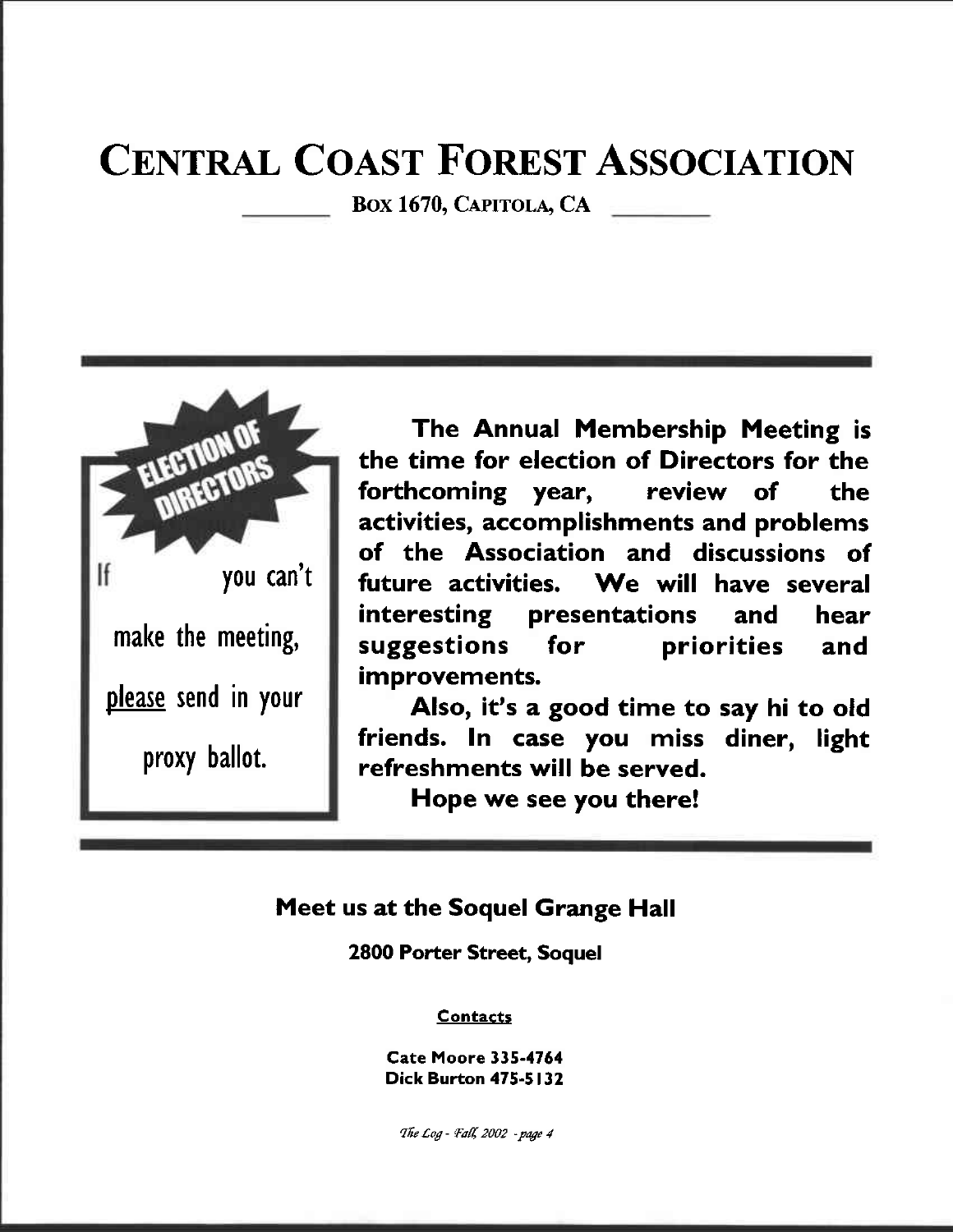# **CENTRAL COAST FOREST ASSOCIATION**

BOX 1670, CAPITOLA, CA



The Annual Membership Meeting is the time for election of Directors for the forthcoming year, review of the activities, accomplishments and problems of the Association and discussions of We will have several future activities. **interesting** presentations and hear suggestions for priorities and improvements.

Also, it's a good time to say hi to old friends. In case you miss diner, light refreshments will be served.

Hope we see you there!

## Meet us at the Soquel Grange Hall

**2800 Porter Street, Soquel** 

### **Contacts**

**Cate Moore 335-4764 Dick Burton 475-5132** 

The Log - Fall, 2002 - page 4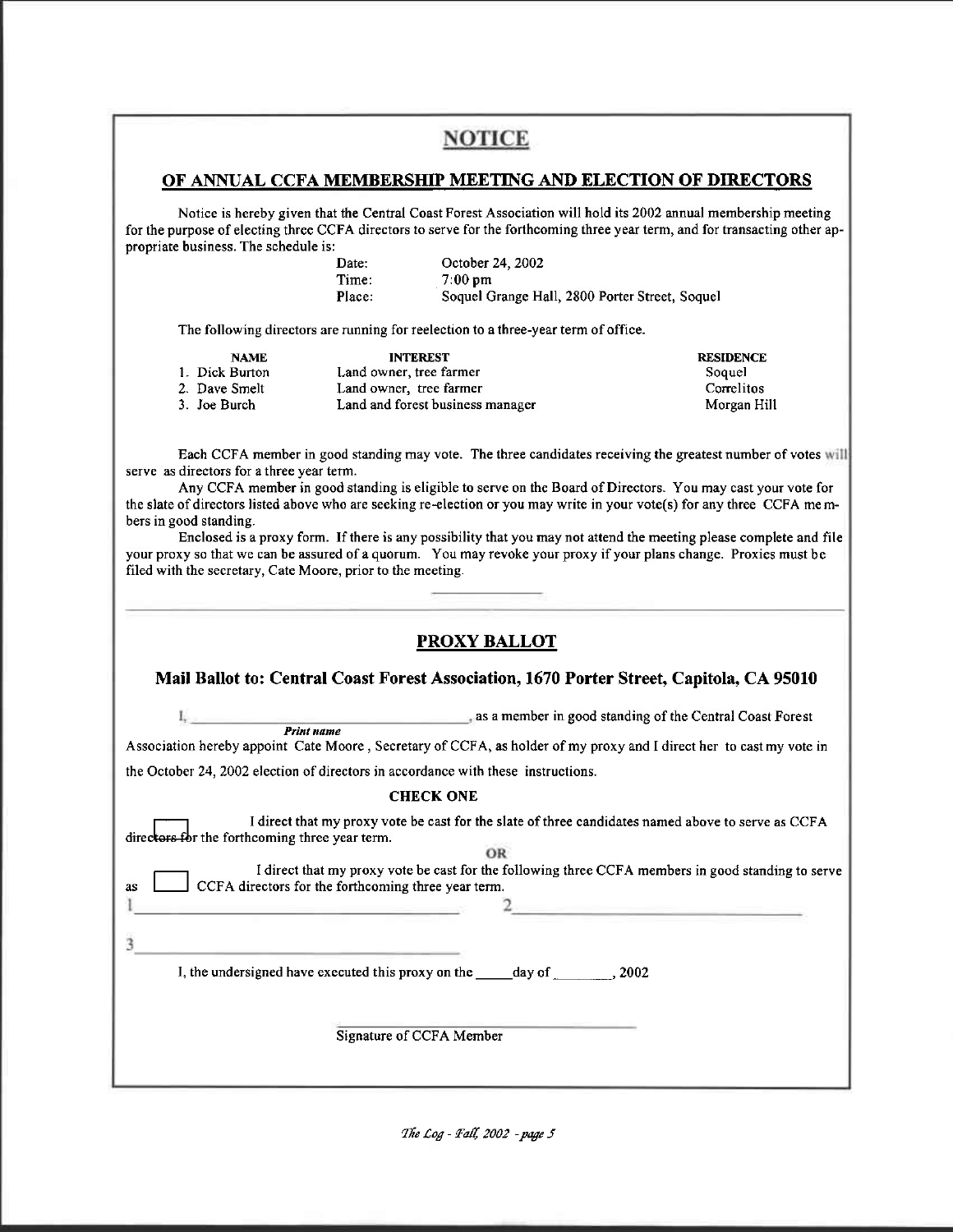# **NOTICE**

## OF ANNUAL CCFA MEMBERSHIP MEETING AND ELECTION OF DIRECTORS

Notice is hereby given that the Central Coast Forest Association will hold its 2002 annual membership meeting for the purpose of electing three CCFA directors to serve for the forthcoming three year term, and for transacting other appropriate business. The schedule is:

| Date:  | October 24, 2002                               |
|--------|------------------------------------------------|
| Time:  | $7.00 \,\mathrm{pm}$                           |
| Place: | Soquel Grange Hall, 2800 Porter Street, Soquel |

The following directors are running for reelection to a three-year term of office.

| <b>NAME</b>    | <b>INTEREST</b>                  | <b>RESIDENCE</b> |
|----------------|----------------------------------|------------------|
| 1. Dick Burton | Land owner, tree farmer          | Soquel           |
| 2. Dave Smelt  | Land owner, tree farmer          | Correlitos       |
| 3. Joe Burch   | Land and forest business manager | Morgan Hill      |

Each CCFA member in good standing may vote. The three candidates receiving the greatest number of votes will serve as directors for a three year term.

Any CCFA member in good standing is eligible to serve on the Board of Directors. You may cast your vote for the slate of directors listed above who are seeking re-election or you may write in your vote(s) for any three CCFA members in good standing.

Enclosed is a proxy form. If there is any possibility that you may not attend the meeting please complete and file your proxy so that we can be assured of a quorum. You may revoke your proxy if your plans change. Proxies must be filed with the secretary, Cate Moore, prior to the meeting.

|                                                                                                                                                                | <b>PROXY BALLOT</b>                                                                                                                                                                                                                                                                                                                      |  |
|----------------------------------------------------------------------------------------------------------------------------------------------------------------|------------------------------------------------------------------------------------------------------------------------------------------------------------------------------------------------------------------------------------------------------------------------------------------------------------------------------------------|--|
| Mail Ballot to: Central Coast Forest Association, 1670 Porter Street, Capitola, CA 95010                                                                       |                                                                                                                                                                                                                                                                                                                                          |  |
|                                                                                                                                                                | <i>Print name</i> example as a member in good standing of the Central Coast Forest<br>Association hereby appoint Cate Moore, Secretary of CCFA, as holder of my proxy and I direct her to cast my vote in                                                                                                                                |  |
| the October 24, 2002 election of directors in accordance with these instructions.                                                                              |                                                                                                                                                                                                                                                                                                                                          |  |
|                                                                                                                                                                | <b>CHECK ONE</b>                                                                                                                                                                                                                                                                                                                         |  |
| directors for the forthcoming three year term.<br>CCFA directors for the forthcoming three year term.<br>as<br>the contract of the contract of the contract of | I direct that my proxy vote be cast for the slate of three candidates named above to serve as CCFA<br>OR<br>I direct that my proxy vote be cast for the following three CCFA members in good standing to serve<br><u> La Carlo Carlo Carlo Carlo Carlo Carlo Carlo Carlo Carlo Carlo Carlo Carlo Carlo Carlo Carlo Carlo Carlo Carlo</u> |  |
|                                                                                                                                                                | I, the undersigned have executed this proxy on the _____ day of ______, 2002                                                                                                                                                                                                                                                             |  |
|                                                                                                                                                                | Signature of CCFA Member                                                                                                                                                                                                                                                                                                                 |  |
|                                                                                                                                                                |                                                                                                                                                                                                                                                                                                                                          |  |

The Log - Fall, 2002 - page 5